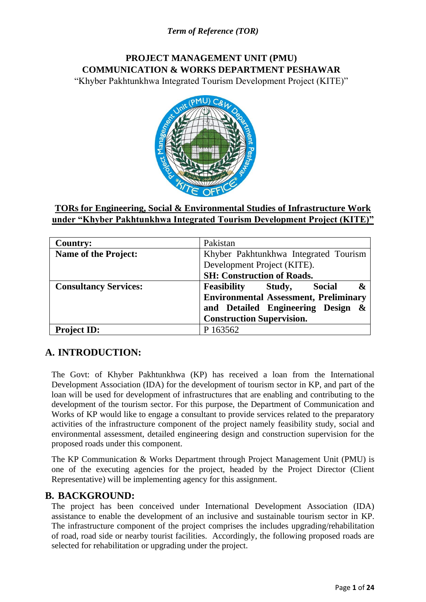## *Term of Reference (TOR)*

# **PROJECT MANAGEMENT UNIT (PMU) COMMUNICATION & WORKS DEPARTMENT PESHAWAR**

"Khyber Pakhtunkhwa Integrated Tourism Development Project (KITE)"



## **TORs for Engineering, Social & Environmental Studies of Infrastructure Work under "Khyber Pakhtunkhwa Integrated Tourism Development Project (KITE)"**

| <b>Country:</b>              | Pakistan                                                  |  |  |  |  |
|------------------------------|-----------------------------------------------------------|--|--|--|--|
| <b>Name of the Project:</b>  | Khyber Pakhtunkhwa Integrated Tourism                     |  |  |  |  |
|                              | Development Project (KITE).                               |  |  |  |  |
|                              | <b>SH: Construction of Roads.</b>                         |  |  |  |  |
| <b>Consultancy Services:</b> | <b>Feasibility</b> Study, Social<br>$\boldsymbol{\alpha}$ |  |  |  |  |
|                              | <b>Environmental Assessment, Preliminary</b>              |  |  |  |  |
|                              | and Detailed Engineering Design &                         |  |  |  |  |
|                              | <b>Construction Supervision.</b>                          |  |  |  |  |
| <b>Project ID:</b>           | P 163562                                                  |  |  |  |  |

## **A. INTRODUCTION:**

The Govt: of Khyber Pakhtunkhwa (KP) has received a loan from the International Development Association (IDA) for the development of tourism sector in KP, and part of the loan will be used for development of infrastructures that are enabling and contributing to the development of the tourism sector. For this purpose, the Department of Communication and Works of KP would like to engage a consultant to provide services related to the preparatory activities of the infrastructure component of the project namely feasibility study, social and environmental assessment, detailed engineering design and construction supervision for the proposed roads under this component.

The KP Communication & Works Department through Project Management Unit (PMU) is one of the executing agencies for the project, headed by the Project Director (Client Representative) will be implementing agency for this assignment.

## **B. BACKGROUND:**

The project has been conceived under International Development Association (IDA) assistance to enable the development of an inclusive and sustainable tourism sector in KP. The infrastructure component of the project comprises the includes upgrading/rehabilitation of road, road side or nearby tourist facilities. Accordingly, the following proposed roads are selected for rehabilitation or upgrading under the project.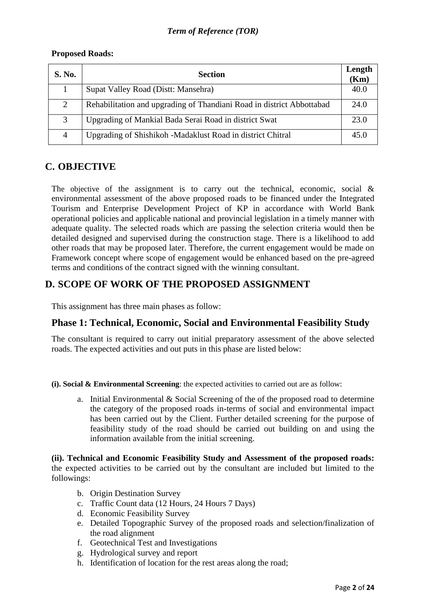## **Proposed Roads:**

| S. No.         | <b>Section</b>                                                        | Length<br>(Km) |
|----------------|-----------------------------------------------------------------------|----------------|
|                | Supat Valley Road (Distt: Mansehra)                                   | 40.0           |
| 2              | Rehabilitation and upgrading of Thandiani Road in district Abbottabad | 24.0           |
| 3              | Upgrading of Mankial Bada Serai Road in district Swat                 | 23.0           |
| $\overline{4}$ | Upgrading of Shishikoh -Madaklust Road in district Chitral            | 45.0           |

# **C. OBJECTIVE**

The objective of the assignment is to carry out the technical, economic, social  $\&$ environmental assessment of the above proposed roads to be financed under the Integrated Tourism and Enterprise Development Project of KP in accordance with World Bank operational policies and applicable national and provincial legislation in a timely manner with adequate quality. The selected roads which are passing the selection criteria would then be detailed designed and supervised during the construction stage. There is a likelihood to add other roads that may be proposed later. Therefore, the current engagement would be made on Framework concept where scope of engagement would be enhanced based on the pre-agreed terms and conditions of the contract signed with the winning consultant.

# **D. SCOPE OF WORK OF THE PROPOSED ASSIGNMENT**

This assignment has three main phases as follow:

## **Phase 1: Technical, Economic, Social and Environmental Feasibility Study**

The consultant is required to carry out initial preparatory assessment of the above selected roads. The expected activities and out puts in this phase are listed below:

**(i). Social & Environmental Screening**: the expected activities to carried out are as follow:

a. Initial Environmental & Social Screening of the of the proposed road to determine the category of the proposed roads in-terms of social and environmental impact has been carried out by the Client. Further detailed screening for the purpose of feasibility study of the road should be carried out building on and using the information available from the initial screening.

**(ii). Technical and Economic Feasibility Study and Assessment of the proposed roads:** the expected activities to be carried out by the consultant are included but limited to the followings:

- b. Origin Destination Survey
- c. Traffic Count data (12 Hours, 24 Hours 7 Days)
- d. Economic Feasibility Survey
- e. Detailed Topographic Survey of the proposed roads and selection/finalization of the road alignment
- f. Geotechnical Test and Investigations
- g. Hydrological survey and report
- h. Identification of location for the rest areas along the road;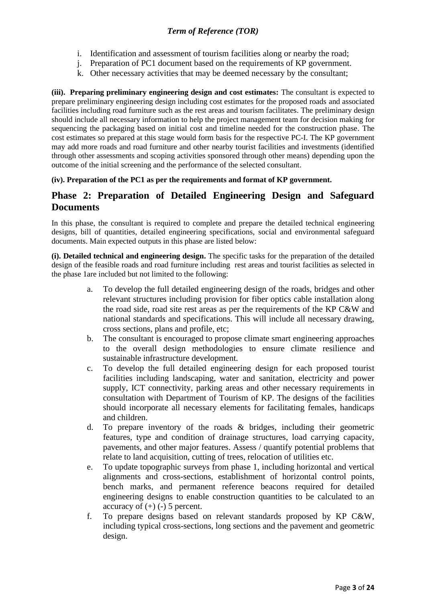- i. Identification and assessment of tourism facilities along or nearby the road;
- j. Preparation of PC1 document based on the requirements of KP government.
- k. Other necessary activities that may be deemed necessary by the consultant;

**(iii). Preparing preliminary engineering design and cost estimates:** The consultant is expected to prepare preliminary engineering design including cost estimates for the proposed roads and associated facilities including road furniture such as the rest areas and tourism facilitates. The preliminary design should include all necessary information to help the project management team for decision making for sequencing the packaging based on initial cost and timeline needed for the construction phase. The cost estimates so prepared at this stage would form basis for the respective PC-I. The KP government may add more roads and road furniture and other nearby tourist facilities and investments (identified through other assessments and scoping activities sponsored through other means) depending upon the outcome of the initial screening and the performance of the selected consultant.

#### **(iv). Preparation of the PC1 as per the requirements and format of KP government.**

## **Phase 2: Preparation of Detailed Engineering Design and Safeguard Documents**

In this phase, the consultant is required to complete and prepare the detailed technical engineering designs, bill of quantities, detailed engineering specifications, social and environmental safeguard documents. Main expected outputs in this phase are listed below:

**(i). Detailed technical and engineering design.** The specific tasks for the preparation of the detailed design of the feasible roads and road furniture including rest areas and tourist facilities as selected in the phase 1are included but not limited to the following:

- a. To develop the full detailed engineering design of the roads, bridges and other relevant structures including provision for fiber optics cable installation along the road side, road site rest areas as per the requirements of the KP C&W and national standards and specifications. This will include all necessary drawing, cross sections, plans and profile, etc;
- b. The consultant is encouraged to propose climate smart engineering approaches to the overall design methodologies to ensure climate resilience and sustainable infrastructure development.
- c. To develop the full detailed engineering design for each proposed tourist facilities including landscaping, water and sanitation, electricity and power supply, ICT connectivity, parking areas and other necessary requirements in consultation with Department of Tourism of KP. The designs of the facilities should incorporate all necessary elements for facilitating females, handicaps and children.
- d. To prepare inventory of the roads & bridges, including their geometric features, type and condition of drainage structures, load carrying capacity, pavements, and other major features. Assess / quantify potential problems that relate to land acquisition, cutting of trees, relocation of utilities etc.
- e. To update topographic surveys from phase 1, including horizontal and vertical alignments and cross-sections, establishment of horizontal control points, bench marks, and permanent reference beacons required for detailed engineering designs to enable construction quantities to be calculated to an accuracy of  $(+)$   $(-)$  5 percent.
- f. To prepare designs based on relevant standards proposed by KP C&W, including typical cross-sections, long sections and the pavement and geometric design.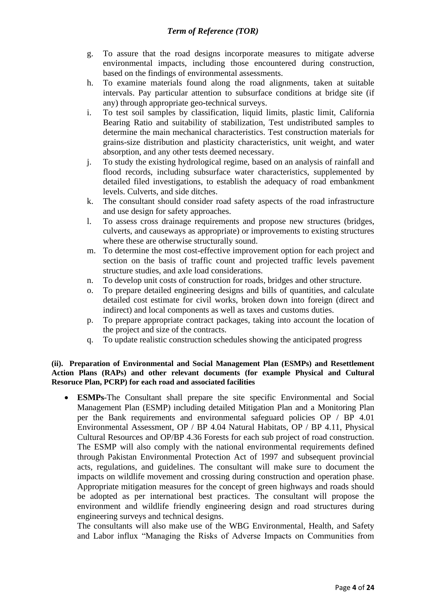- g. To assure that the road designs incorporate measures to mitigate adverse environmental impacts, including those encountered during construction, based on the findings of environmental assessments.
- h. To examine materials found along the road alignments, taken at suitable intervals. Pay particular attention to subsurface conditions at bridge site (if any) through appropriate geo-technical surveys.
- i. To test soil samples by classification, liquid limits, plastic limit, California Bearing Ratio and suitability of stabilization, Test undistributed samples to determine the main mechanical characteristics. Test construction materials for grains-size distribution and plasticity characteristics, unit weight, and water absorption, and any other tests deemed necessary.
- j. To study the existing hydrological regime, based on an analysis of rainfall and flood records, including subsurface water characteristics, supplemented by detailed filed investigations, to establish the adequacy of road embankment levels. Culverts, and side ditches.
- k. The consultant should consider road safety aspects of the road infrastructure and use design for safety approaches.
- l. To assess cross drainage requirements and propose new structures (bridges, culverts, and causeways as appropriate) or improvements to existing structures where these are otherwise structurally sound.
- m. To determine the most cost-effective improvement option for each project and section on the basis of traffic count and projected traffic levels pavement structure studies, and axle load considerations.
- n. To develop unit costs of construction for roads, bridges and other structure.
- o. To prepare detailed engineering designs and bills of quantities, and calculate detailed cost estimate for civil works, broken down into foreign (direct and indirect) and local components as well as taxes and customs duties.
- p. To prepare appropriate contract packages, taking into account the location of the project and size of the contracts.
- q. To update realistic construction schedules showing the anticipated progress

#### **(ii). Preparation of Environmental and Social Management Plan (ESMPs) and Resettlement Action Plans (RAPs) and other relevant documents (for example Physical and Cultural Resoruce Plan, PCRP) for each road and associated facilities**

• **ESMPs**-The Consultant shall prepare the site specific Environmental and Social Management Plan (ESMP) including detailed Mitigation Plan and a Monitoring Plan per the Bank requirements and environmental safeguard policies OP / BP 4.01 Environmental Assessment, OP / BP 4.04 Natural Habitats, OP / BP 4.11, Physical Cultural Resources and OP/BP 4.36 Forests for each sub project of road construction. The ESMP will also comply with the national environmental requirements defined through Pakistan Environmental Protection Act of 1997 and subsequent provincial acts, regulations, and guidelines. The consultant will make sure to document the impacts on wildlife movement and crossing during construction and operation phase. Appropriate mitigation measures for the concept of green highways and roads should be adopted as per international best practices. The consultant will propose the environment and wildlife friendly engineering design and road structures during engineering surveys and technical designs.

The consultants will also make use of the WBG Environmental, Health, and Safety and Labor influx "Managing the Risks of Adverse Impacts on Communities from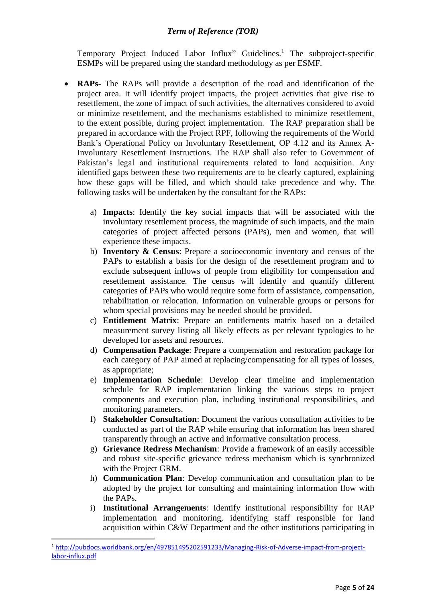### *Term of Reference (TOR)*

Temporary Project Induced Labor Influx" Guidelines.<sup>1</sup> The subproject-specific ESMPs will be prepared using the standard methodology as per ESMF.

- **RAPs-** The RAPs will provide a description of the road and identification of the project area. It will identify project impacts, the project activities that give rise to resettlement, the zone of impact of such activities, the alternatives considered to avoid or minimize resettlement, and the mechanisms established to minimize resettlement, to the extent possible, during project implementation. The RAP preparation shall be prepared in accordance with the Project RPF, following the requirements of the World Bank's Operational Policy on Involuntary Resettlement, OP 4.12 and its Annex A-Involuntary Resettlement Instructions. The RAP shall also refer to Government of Pakistan's legal and institutional requirements related to land acquisition. Any identified gaps between these two requirements are to be clearly captured, explaining how these gaps will be filled, and which should take precedence and why. The following tasks will be undertaken by the consultant for the RAPs:
	- a) **Impacts**: Identify the key social impacts that will be associated with the involuntary resettlement process, the magnitude of such impacts, and the main categories of project affected persons (PAPs), men and women, that will experience these impacts.
	- b) **Inventory & Census**: Prepare a socioeconomic inventory and census of the PAPs to establish a basis for the design of the resettlement program and to exclude subsequent inflows of people from eligibility for compensation and resettlement assistance. The census will identify and quantify different categories of PAPs who would require some form of assistance, compensation, rehabilitation or relocation. Information on vulnerable groups or persons for whom special provisions may be needed should be provided.
	- c) **Entitlement Matrix**: Prepare an entitlements matrix based on a detailed measurement survey listing all likely effects as per relevant typologies to be developed for assets and resources.
	- d) **Compensation Package**: Prepare a compensation and restoration package for each category of PAP aimed at replacing/compensating for all types of losses, as appropriate;
	- e) **Implementation Schedule**: Develop clear timeline and implementation schedule for RAP implementation linking the various steps to project components and execution plan, including institutional responsibilities, and monitoring parameters.
	- f) **Stakeholder Consultation**: Document the various consultation activities to be conducted as part of the RAP while ensuring that information has been shared transparently through an active and informative consultation process.
	- g) **Grievance Redress Mechanism**: Provide a framework of an easily accessible and robust site-specific grievance redress mechanism which is synchronized with the Project GRM.
	- h) **Communication Plan**: Develop communication and consultation plan to be adopted by the project for consulting and maintaining information flow with the PAPs.
	- i) **Institutional Arrangements**: Identify institutional responsibility for RAP implementation and monitoring, identifying staff responsible for land acquisition within C&W Department and the other institutions participating in

<sup>1</sup> [http://pubdocs.worldbank.org/en/497851495202591233/Managing-Risk-of-Adverse-impact-from-project](http://pubdocs.worldbank.org/en/497851495202591233/Managing-Risk-of-Adverse-impact-from-project-labor-influx.pdf)[labor-influx.pdf](http://pubdocs.worldbank.org/en/497851495202591233/Managing-Risk-of-Adverse-impact-from-project-labor-influx.pdf)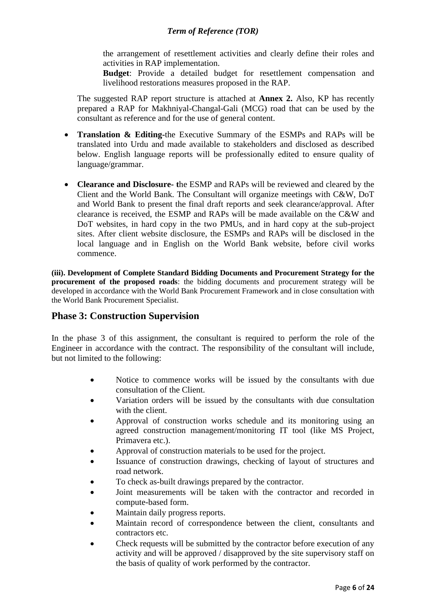## *Term of Reference (TOR)*

the arrangement of resettlement activities and clearly define their roles and activities in RAP implementation.

**Budget**: Provide a detailed budget for resettlement compensation and livelihood restorations measures proposed in the RAP.

The suggested RAP report structure is attached at **Annex 2.** Also, KP has recently prepared a RAP for Makhniyal-Changal-Gali (MCG) road that can be used by the consultant as reference and for the use of general content.

- **Translation & Editing-**the Executive Summary of the ESMPs and RAPs will be translated into Urdu and made available to stakeholders and disclosed as described below. English language reports will be professionally edited to ensure quality of language/grammar.
- **Clearance and Disclosure- t**he ESMP and RAPs will be reviewed and cleared by the Client and the World Bank. The Consultant will organize meetings with C&W, DoT and World Bank to present the final draft reports and seek clearance/approval. After clearance is received, the ESMP and RAPs will be made available on the C&W and DoT websites, in hard copy in the two PMUs, and in hard copy at the sub-project sites. After client website disclosure, the ESMPs and RAPs will be disclosed in the local language and in English on the World Bank website, before civil works commence.

**(iii). Development of Complete Standard Bidding Documents and Procurement Strategy for the procurement of the proposed roads**: the bidding documents and procurement strategy will be developed in accordance with the World Bank Procurement Framework and in close consultation with the World Bank Procurement Specialist.

## **Phase 3: Construction Supervision**

In the phase 3 of this assignment, the consultant is required to perform the role of the Engineer in accordance with the contract. The responsibility of the consultant will include, but not limited to the following:

- Notice to commence works will be issued by the consultants with due consultation of the Client.
- Variation orders will be issued by the consultants with due consultation with the client.
- Approval of construction works schedule and its monitoring using an agreed construction management/monitoring IT tool (like MS Project, Primavera etc.).
- Approval of construction materials to be used for the project.
- Issuance of construction drawings, checking of layout of structures and road network.
- To check as-built drawings prepared by the contractor.
- Joint measurements will be taken with the contractor and recorded in compute-based form.
- Maintain daily progress reports.
- Maintain record of correspondence between the client, consultants and contractors etc.
- Check requests will be submitted by the contractor before execution of any activity and will be approved / disapproved by the site supervisory staff on the basis of quality of work performed by the contractor.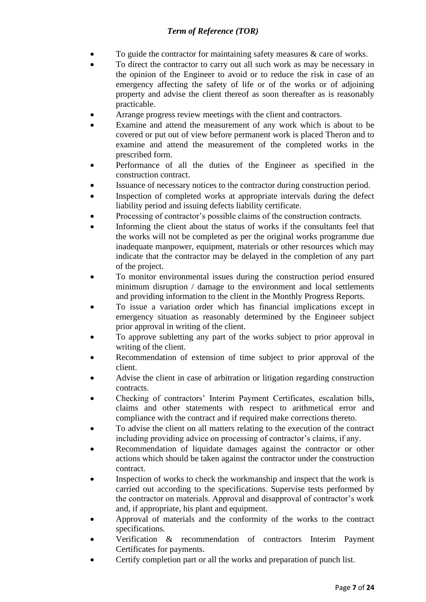- To guide the contractor for maintaining safety measures  $\&$  care of works.
- To direct the contractor to carry out all such work as may be necessary in the opinion of the Engineer to avoid or to reduce the risk in case of an emergency affecting the safety of life or of the works or of adjoining property and advise the client thereof as soon thereafter as is reasonably practicable.
- Arrange progress review meetings with the client and contractors.
- Examine and attend the measurement of any work which is about to be covered or put out of view before permanent work is placed Theron and to examine and attend the measurement of the completed works in the prescribed form.
- Performance of all the duties of the Engineer as specified in the construction contract.
- Issuance of necessary notices to the contractor during construction period.
- Inspection of completed works at appropriate intervals during the defect liability period and issuing defects liability certificate.
- Processing of contractor's possible claims of the construction contracts.
- Informing the client about the status of works if the consultants feel that the works will not be completed as per the original works programme due inadequate manpower, equipment, materials or other resources which may indicate that the contractor may be delayed in the completion of any part of the project.
- To monitor environmental issues during the construction period ensured minimum disruption / damage to the environment and local settlements and providing information to the client in the Monthly Progress Reports.
- To issue a variation order which has financial implications except in emergency situation as reasonably determined by the Engineer subject prior approval in writing of the client.
- To approve subletting any part of the works subject to prior approval in writing of the client.
- Recommendation of extension of time subject to prior approval of the client.
- Advise the client in case of arbitration or litigation regarding construction contracts.
- Checking of contractors' Interim Payment Certificates, escalation bills, claims and other statements with respect to arithmetical error and compliance with the contract and if required make corrections thereto.
- To advise the client on all matters relating to the execution of the contract including providing advice on processing of contractor's claims, if any.
- Recommendation of liquidate damages against the contractor or other actions which should be taken against the contractor under the construction contract.
- Inspection of works to check the workmanship and inspect that the work is carried out according to the specifications. Supervise tests performed by the contractor on materials. Approval and disapproval of contractor's work and, if appropriate, his plant and equipment.
- Approval of materials and the conformity of the works to the contract specifications.
- Verification & recommendation of contractors Interim Payment Certificates for payments.
- Certify completion part or all the works and preparation of punch list.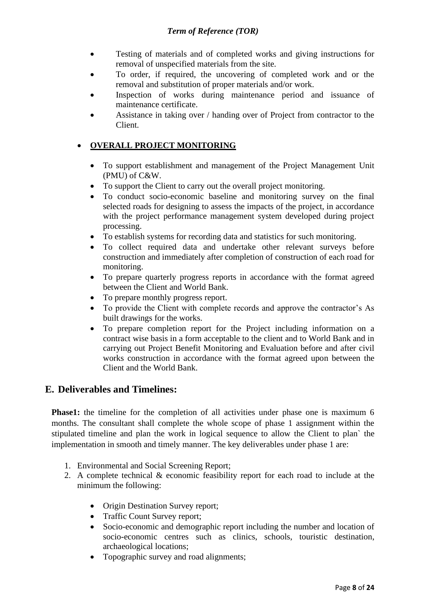- Testing of materials and of completed works and giving instructions for removal of unspecified materials from the site.
- To order, if required, the uncovering of completed work and or the removal and substitution of proper materials and/or work.
- Inspection of works during maintenance period and issuance of maintenance certificate.
- Assistance in taking over / handing over of Project from contractor to the Client.

## • **OVERALL PROJECT MONITORING**

- To support establishment and management of the Project Management Unit (PMU) of C&W.
- To support the Client to carry out the overall project monitoring.
- To conduct socio-economic baseline and monitoring survey on the final selected roads for designing to assess the impacts of the project, in accordance with the project performance management system developed during project processing.
- To establish systems for recording data and statistics for such monitoring.
- To collect required data and undertake other relevant surveys before construction and immediately after completion of construction of each road for monitoring.
- To prepare quarterly progress reports in accordance with the format agreed between the Client and World Bank.
- To prepare monthly progress report.
- To provide the Client with complete records and approve the contractor's As built drawings for the works.
- To prepare completion report for the Project including information on a contract wise basis in a form acceptable to the client and to World Bank and in carrying out Project Benefit Monitoring and Evaluation before and after civil works construction in accordance with the format agreed upon between the Client and the World Bank.

## **E. Deliverables and Timelines:**

**Phase1:** the timeline for the completion of all activities under phase one is maximum 6 months. The consultant shall complete the whole scope of phase 1 assignment within the stipulated timeline and plan the work in logical sequence to allow the Client to plan` the implementation in smooth and timely manner. The key deliverables under phase 1 are:

- 1. Environmental and Social Screening Report;
- 2. A complete technical & economic feasibility report for each road to include at the minimum the following:
	- Origin Destination Survey report;
	- Traffic Count Survey report;
	- Socio-economic and demographic report including the number and location of socio-economic centres such as clinics, schools, touristic destination, archaeological locations;
	- Topographic survey and road alignments;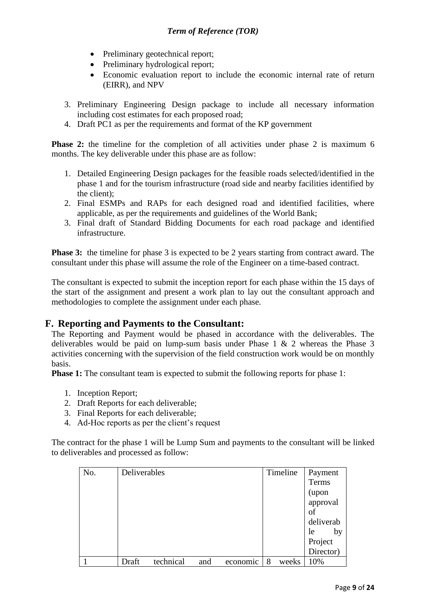- Preliminary geotechnical report;
- Preliminary hydrological report;
- Economic evaluation report to include the economic internal rate of return (EIRR), and NPV
- 3. Preliminary Engineering Design package to include all necessary information including cost estimates for each proposed road;
- 4. Draft PC1 as per the requirements and format of the KP government

**Phase 2:** the timeline for the completion of all activities under phase 2 is maximum 6 months. The key deliverable under this phase are as follow:

- 1. Detailed Engineering Design packages for the feasible roads selected/identified in the phase 1 and for the tourism infrastructure (road side and nearby facilities identified by the client);
- 2. Final ESMPs and RAPs for each designed road and identified facilities, where applicable, as per the requirements and guidelines of the World Bank;
- 3. Final draft of Standard Bidding Documents for each road package and identified infrastructure.

**Phase 3:** the timeline for phase 3 is expected to be 2 years starting from contract award. The consultant under this phase will assume the role of the Engineer on a time-based contract.

The consultant is expected to submit the inception report for each phase within the 15 days of the start of the assignment and present a work plan to lay out the consultant approach and methodologies to complete the assignment under each phase.

## **F. Reporting and Payments to the Consultant:**

The Reporting and Payment would be phased in accordance with the deliverables. The deliverables would be paid on lump-sum basis under Phase 1 & 2 whereas the Phase 3 activities concerning with the supervision of the field construction work would be on monthly basis.

**Phase 1:** The consultant team is expected to submit the following reports for phase 1:

- 1. Inception Report;
- 2. Draft Reports for each deliverable;
- 3. Final Reports for each deliverable;
- 4. Ad-Hoc reports as per the client's request

The contract for the phase 1 will be Lump Sum and payments to the consultant will be linked to deliverables and processed as follow:

| No. | Deliverables |           |     |          |   | Timeline | Payment   |
|-----|--------------|-----------|-----|----------|---|----------|-----------|
|     |              |           |     |          |   |          | Terms     |
|     |              |           |     |          |   |          | (upon     |
|     |              |           |     |          |   |          | approval  |
|     |              |           |     |          |   |          | of        |
|     |              |           |     |          |   |          | deliverab |
|     |              |           |     |          |   |          | by<br>le  |
|     |              |           |     |          |   |          | Project   |
|     |              |           |     |          |   |          | Director) |
|     | Draft        | technical | and | economic | 8 | weeks    | 10%       |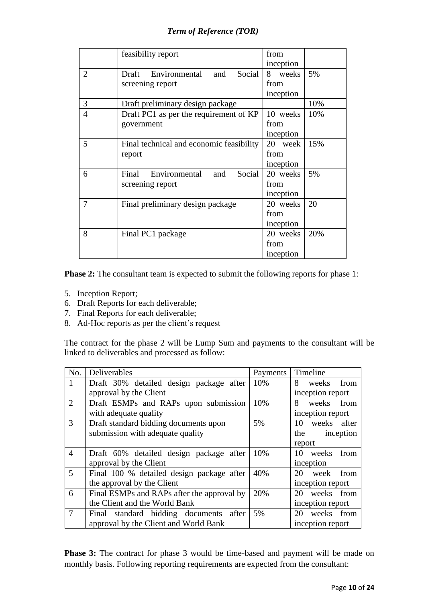## *Term of Reference (TOR)*

|                | feasibility report                       | from       |     |
|----------------|------------------------------------------|------------|-----|
|                |                                          | inception  |     |
| $\overline{2}$ | Environmental<br>Social<br>Draft<br>and  | 8<br>weeks | 5%  |
|                | screening report                         | from       |     |
|                |                                          | inception  |     |
| 3              | Draft preliminary design package         |            | 10% |
| $\overline{4}$ | Draft PC1 as per the requirement of KP   | 10 weeks   | 10% |
|                | government                               | from       |     |
|                |                                          | inception  |     |
| 5              | Final technical and economic feasibility | 20 week    | 15% |
|                | report                                   | from       |     |
|                |                                          | inception  |     |
| 6              | Environmental<br>Social<br>Final<br>and  | 20 weeks   | 5%  |
|                | screening report                         | from       |     |
|                |                                          | inception  |     |
| 7              | Final preliminary design package         | 20 weeks   | 20  |
|                |                                          | from       |     |
|                |                                          | inception  |     |
| 8              | Final PC1 package                        | 20 weeks   | 20% |
|                |                                          | from       |     |
|                |                                          | inception  |     |

**Phase 2:** The consultant team is expected to submit the following reports for phase 1:

- 5. Inception Report;
- 6. Draft Reports for each deliverable;
- 7. Final Reports for each deliverable;
- 8. Ad-Hoc reports as per the client's request

The contract for the phase 2 will be Lump Sum and payments to the consultant will be linked to deliverables and processed as follow:

| No.            | Deliverables                               | Payments | Timeline         |
|----------------|--------------------------------------------|----------|------------------|
| $\mathbf{1}$   | Draft 30% detailed design package after    | 10%      | 8<br>weeks from  |
|                | approval by the Client                     |          | inception report |
| 2              | Draft ESMPs and RAPs upon submission       | 10%      | 8<br>weeks from  |
|                | with adequate quality                      |          | inception report |
| 3              | Draft standard bidding documents upon      | 5%       | 10 weeks after   |
|                | submission with adequate quality           |          | the inception    |
|                |                                            |          | report           |
| $\overline{4}$ | Draft 60% detailed design package after    | 10%      | 10 weeks from    |
|                | approval by the Client                     |          | inception        |
| 5              | Final 100 % detailed design package after  | 40%      | 20 week from     |
|                | the approval by the Client                 |          | inception report |
| 6              | Final ESMPs and RAPs after the approval by | 20%      | 20 weeks from    |
|                | the Client and the World Bank              |          | inception report |
| 7              | Final standard bidding documents after     | 5%       | 20 weeks from    |
|                | approval by the Client and World Bank      |          | inception report |

**Phase 3:** The contract for phase 3 would be time-based and payment will be made on monthly basis. Following reporting requirements are expected from the consultant: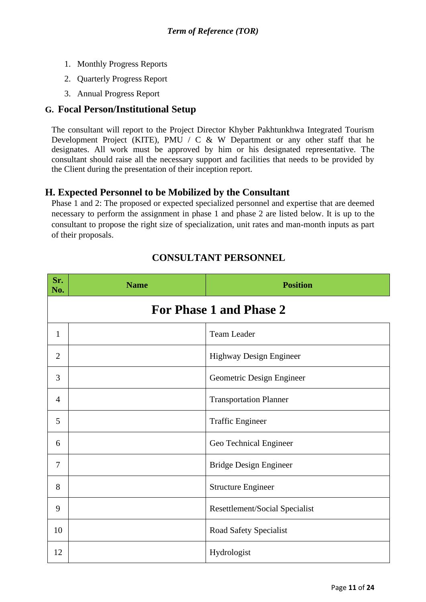- 1. Monthly Progress Reports
- 2. Quarterly Progress Report
- 3. Annual Progress Report

## **G. Focal Person/Institutional Setup**

The consultant will report to the Project Director Khyber Pakhtunkhwa Integrated Tourism Development Project (KITE), PMU / C & W Department or any other staff that he designates. All work must be approved by him or his designated representative. The consultant should raise all the necessary support and facilities that needs to be provided by the Client during the presentation of their inception report.

## **H. Expected Personnel to be Mobilized by the Consultant**

Phase 1 and 2: The proposed or expected specialized personnel and expertise that are deemed necessary to perform the assignment in phase 1 and phase 2 are listed below. It is up to the consultant to propose the right size of specialization, unit rates and man-month inputs as part of their proposals.

| Sr.<br>No.     | <b>Name</b>             | <b>Position</b>                |  |  |  |  |  |
|----------------|-------------------------|--------------------------------|--|--|--|--|--|
|                | For Phase 1 and Phase 2 |                                |  |  |  |  |  |
| $\mathbf{1}$   |                         | <b>Team Leader</b>             |  |  |  |  |  |
| $\overline{2}$ |                         | Highway Design Engineer        |  |  |  |  |  |
| 3              |                         | Geometric Design Engineer      |  |  |  |  |  |
| $\overline{4}$ |                         | <b>Transportation Planner</b>  |  |  |  |  |  |
| 5              |                         | <b>Traffic Engineer</b>        |  |  |  |  |  |
| 6              |                         | Geo Technical Engineer         |  |  |  |  |  |
| 7              |                         | <b>Bridge Design Engineer</b>  |  |  |  |  |  |
| 8              |                         | <b>Structure Engineer</b>      |  |  |  |  |  |
| 9              |                         | Resettlement/Social Specialist |  |  |  |  |  |
| 10             |                         | Road Safety Specialist         |  |  |  |  |  |
| 12             |                         | Hydrologist                    |  |  |  |  |  |

# **CONSULTANT PERSONNEL**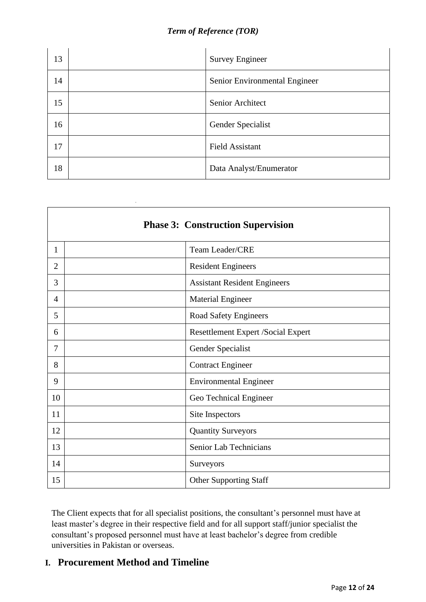| 13 | <b>Survey Engineer</b>        |
|----|-------------------------------|
| 14 | Senior Environmental Engineer |
| 15 | Senior Architect              |
| 16 | Gender Specialist             |
| 17 | <b>Field Assistant</b>        |
| 18 | Data Analyst/Enumerator       |

|                | <b>Phase 3: Construction Supervision</b>  |
|----------------|-------------------------------------------|
| $\mathbf{1}$   | Team Leader/CRE                           |
| $\overline{2}$ | <b>Resident Engineers</b>                 |
| 3              | <b>Assistant Resident Engineers</b>       |
| 4              | <b>Material Engineer</b>                  |
| 5              | Road Safety Engineers                     |
| 6              | <b>Resettlement Expert /Social Expert</b> |
| 7              | Gender Specialist                         |
| 8              | <b>Contract Engineer</b>                  |
| 9              | <b>Environmental Engineer</b>             |
| 10             | Geo Technical Engineer                    |
| 11             | Site Inspectors                           |
| 12             | <b>Quantity Surveyors</b>                 |
| 13             | Senior Lab Technicians                    |
| 14             | Surveyors                                 |
| 15             | <b>Other Supporting Staff</b>             |

The Client expects that for all specialist positions, the consultant's personnel must have at least master's degree in their respective field and for all support staff/junior specialist the consultant's proposed personnel must have at least bachelor's degree from credible universities in Pakistan or overseas.

# **I. Procurement Method and Timeline**

 $\overline{a}$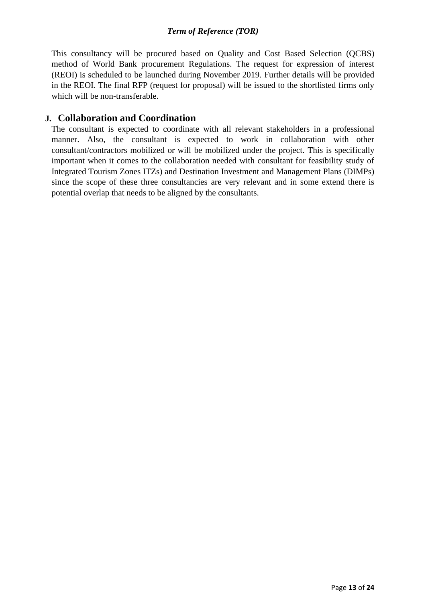This consultancy will be procured based on Quality and Cost Based Selection (QCBS) method of World Bank procurement Regulations. The request for expression of interest (REOI) is scheduled to be launched during November 2019. Further details will be provided in the REOI. The final RFP (request for proposal) will be issued to the shortlisted firms only which will be non-transferable.

## **J. Collaboration and Coordination**

The consultant is expected to coordinate with all relevant stakeholders in a professional manner. Also, the consultant is expected to work in collaboration with other consultant/contractors mobilized or will be mobilized under the project. This is specifically important when it comes to the collaboration needed with consultant for feasibility study of Integrated Tourism Zones ITZs) and Destination Investment and Management Plans (DIMPs) since the scope of these three consultancies are very relevant and in some extend there is potential overlap that needs to be aligned by the consultants.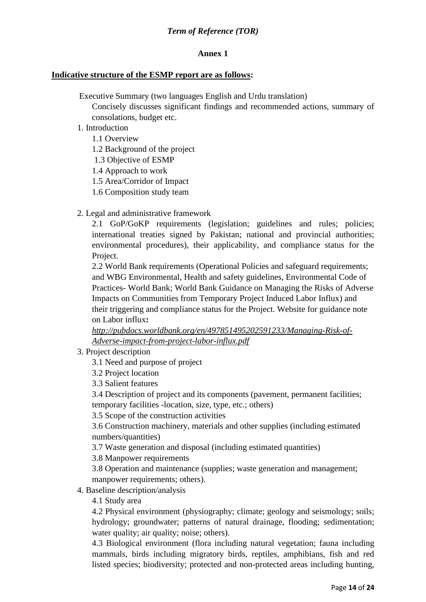### **Annex 1**

#### **Indicative structure of the ESMP report are as follows:**

Executive Summary (two languages English and Urdu translation)

Concisely discusses significant findings and recommended actions, summary of consolations, budget etc.

- 1. Introduction
	- 1.1 Overview
	- 1.2 Background of the project
	- 1.3 Objective of ESMP
	- 1.4 Approach to work
	- 1.5 Area/Corridor of Impact
	- 1.6 Composition study team
- 2. Legal and administrative framework

2.1 GoP/GoKP requirements (legislation; guidelines and rules; policies; international treaties signed by Pakistan; national and provincial authorities; environmental procedures), their applicability, and compliance status for the Project.

2.2 World Bank requirements (Operational Policies and safeguard requirements; and WBG Environmental, Health and safety guidelines, Environmental Code of Practices- World Bank; World Bank Guidance on Managing the Risks of Adverse Impacts on Communities from Temporary Project Induced Labor Influx) and their triggering and compliance status for the Project. Website for guidance note on Labor influx**:** 

*[http://pubdocs.worldbank.org/en/497851495202591233/Managing-Risk-of-](http://pubdocs.worldbank.org/en/497851495202591233/Managing-Risk-of-Adverse-impact-from-project-labor-influx.pdf)[Adverse-impact-from-project-labor-influx.pdf](http://pubdocs.worldbank.org/en/497851495202591233/Managing-Risk-of-Adverse-impact-from-project-labor-influx.pdf)*

- 3. Project description
	- 3.1 Need and purpose of project
	- 3.2 Project location
	- 3.3 Salient features

3.4 Description of project and its components (pavement, permanent facilities; temporary facilities -location, size, type, etc.; others)

3.5 Scope of the construction activities

3.6 Construction machinery, materials and other supplies (including estimated numbers/quantities)

3.7 Waste generation and disposal (including estimated quantities)

3.8 Manpower requirements

3.8 Operation and maintenance (supplies; waste generation and management; manpower requirements; others).

4. Baseline description/analysis

4.1 Study area

4.2 Physical environment (physiography; climate; geology and seismology; soils; hydrology; groundwater; patterns of natural drainage, flooding; sedimentation; water quality; air quality; noise; others).

4.3 Biological environment (flora including natural vegetation; fauna including mammals, birds including migratory birds, reptiles, amphibians, fish and red listed species; biodiversity; protected and non-protected areas including hunting,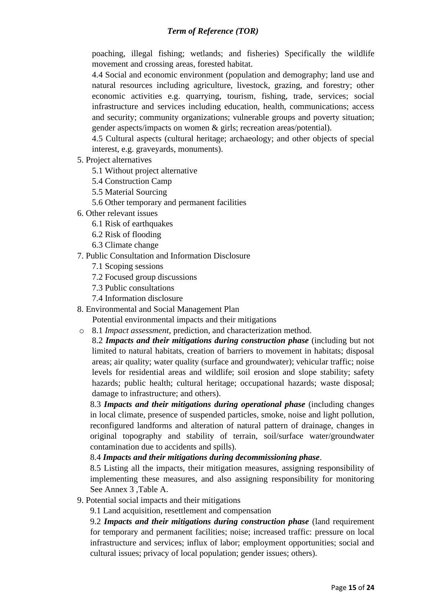poaching, illegal fishing; wetlands; and fisheries) Specifically the wildlife movement and crossing areas, forested habitat.

4.4 Social and economic environment (population and demography; land use and natural resources including agriculture, livestock, grazing, and forestry; other economic activities e.g. quarrying, tourism, fishing, trade, services; social infrastructure and services including education, health, communications; access and security; community organizations; vulnerable groups and poverty situation; gender aspects/impacts on women & girls; recreation areas/potential).

4.5 Cultural aspects (cultural heritage; archaeology; and other objects of special interest, e.g. graveyards, monuments).

- 5. Project alternatives
	- 5.1 Without project alternative
	- 5.4 Construction Camp
	- 5.5 Material Sourcing
	- 5.6 Other temporary and permanent facilities
- 6. Other relevant issues
	- 6.1 Risk of earthquakes
	- 6.2 Risk of flooding
	- 6.3 Climate change
- 7. Public Consultation and Information Disclosure
	- 7.1 Scoping sessions
	- 7.2 Focused group discussions
	- 7.3 Public consultations
	- 7.4 Information disclosure
- 8. Environmental and Social Management Plan

Potential environmental impacts and their mitigations

o 8.1 *Impact assessment*, prediction, and characterization method.

8.2 *Impacts and their mitigations during construction phase* (including but not limited to natural habitats, creation of barriers to movement in habitats; disposal areas; air quality; water quality (surface and groundwater); vehicular traffic; noise levels for residential areas and wildlife; soil erosion and slope stability; safety hazards; public health; cultural heritage; occupational hazards; waste disposal; damage to infrastructure; and others).

8.3 *Impacts and their mitigations during operational phase* (including changes in local climate, presence of suspended particles, smoke, noise and light pollution, reconfigured landforms and alteration of natural pattern of drainage, changes in original topography and stability of terrain, soil/surface water/groundwater contamination due to accidents and spills).

8.4 *Impacts and their mitigations during decommissioning phase*.

8.5 Listing all the impacts, their mitigation measures, assigning responsibility of implementing these measures, and also assigning responsibility for monitoring See Annex 3 ,Table A.

9. Potential social impacts and their mitigations

9.1 Land acquisition, resettlement and compensation

9.2 *Impacts and their mitigations during construction phase* (land requirement for temporary and permanent facilities; noise; increased traffic: pressure on local infrastructure and services; influx of labor; employment opportunities; social and cultural issues; privacy of local population; gender issues; others).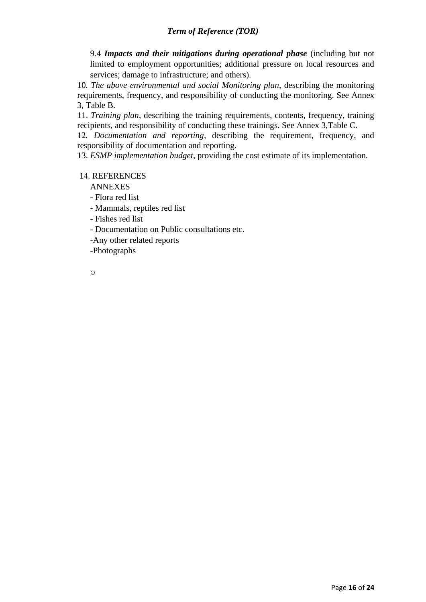9.4 *Impacts and their mitigations during operational phase* (including but not limited to employment opportunities; additional pressure on local resources and services; damage to infrastructure; and others).

10*. The above environmental and social Monitoring plan*, describing the monitoring requirements, frequency, and responsibility of conducting the monitoring. See Annex 3, Table B.

11. *Training plan*, describing the training requirements, contents, frequency, training recipients, and responsibility of conducting these trainings. See Annex 3,Table C.

12*. Documentation and reporting*, describing the requirement, frequency, and responsibility of documentation and reporting.

13. *ESMP implementation budget*, providing the cost estimate of its implementation.

#### 14. REFERENCES

**ANNEXES** 

- Flora red list

- Mammals, reptiles red list

- Fishes red list

- Documentation on Public consultations etc.

-Any other related reports

-Photographs

o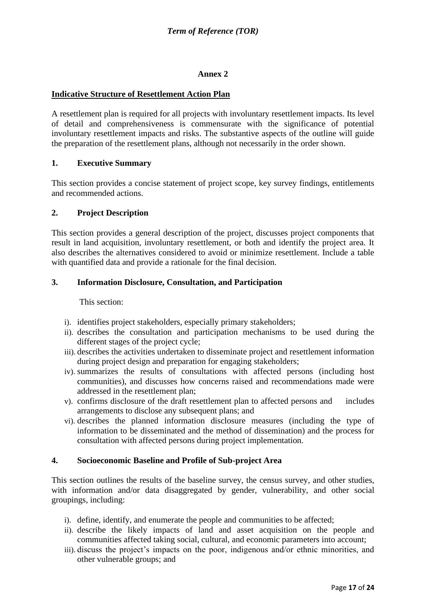## **Annex 2**

### **Indicative Structure of Resettlement Action Plan**

A resettlement plan is required for all projects with involuntary resettlement impacts. Its level of detail and comprehensiveness is commensurate with the significance of potential involuntary resettlement impacts and risks. The substantive aspects of the outline will guide the preparation of the resettlement plans, although not necessarily in the order shown.

#### **1. Executive Summary**

This section provides a concise statement of project scope, key survey findings, entitlements and recommended actions.

## **2. Project Description**

This section provides a general description of the project, discusses project components that result in land acquisition, involuntary resettlement, or both and identify the project area. It also describes the alternatives considered to avoid or minimize resettlement. Include a table with quantified data and provide a rationale for the final decision.

#### **3. Information Disclosure, Consultation, and Participation**

This section:

- i). identifies project stakeholders, especially primary stakeholders;
- ii). describes the consultation and participation mechanisms to be used during the different stages of the project cycle;
- iii). describes the activities undertaken to disseminate project and resettlement information during project design and preparation for engaging stakeholders;
- iv). summarizes the results of consultations with affected persons (including host communities), and discusses how concerns raised and recommendations made were addressed in the resettlement plan;
- v). confirms disclosure of the draft resettlement plan to affected persons and includes arrangements to disclose any subsequent plans; and
- vi). describes the planned information disclosure measures (including the type of information to be disseminated and the method of dissemination) and the process for consultation with affected persons during project implementation.

#### **4. Socioeconomic Baseline and Profile of Sub-project Area**

This section outlines the results of the baseline survey, the census survey, and other studies, with information and/or data disaggregated by gender, vulnerability, and other social groupings, including:

- i). define, identify, and enumerate the people and communities to be affected;
- ii). describe the likely impacts of land and asset acquisition on the people and communities affected taking social, cultural, and economic parameters into account;
- iii). discuss the project's impacts on the poor, indigenous and/or ethnic minorities, and other vulnerable groups; and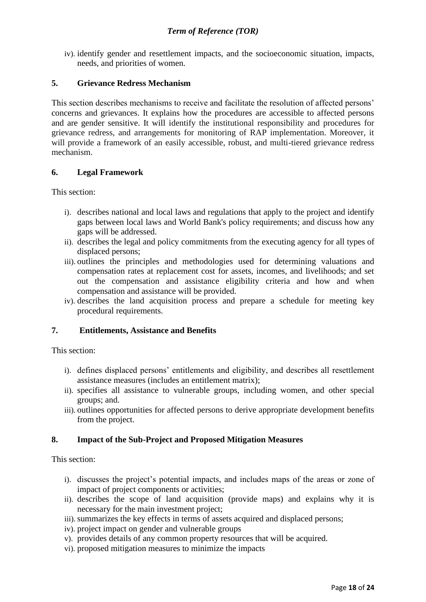iv). identify gender and resettlement impacts, and the socioeconomic situation, impacts, needs, and priorities of women.

### **5. Grievance Redress Mechanism**

This section describes mechanisms to receive and facilitate the resolution of affected persons' concerns and grievances. It explains how the procedures are accessible to affected persons and are gender sensitive. It will identify the institutional responsibility and procedures for grievance redress, and arrangements for monitoring of RAP implementation. Moreover, it will provide a framework of an easily accessible, robust, and multi-tiered grievance redress mechanism.

#### **6. Legal Framework**

This section:

- i). describes national and local laws and regulations that apply to the project and identify gaps between local laws and World Bank's policy requirements; and discuss how any gaps will be addressed.
- ii). describes the legal and policy commitments from the executing agency for all types of displaced persons;
- iii). outlines the principles and methodologies used for determining valuations and compensation rates at replacement cost for assets, incomes, and livelihoods; and set out the compensation and assistance eligibility criteria and how and when compensation and assistance will be provided.
- iv). describes the land acquisition process and prepare a schedule for meeting key procedural requirements.

#### **7. Entitlements, Assistance and Benefits**

This section:

- i). defines displaced persons' entitlements and eligibility, and describes all resettlement assistance measures (includes an entitlement matrix);
- ii). specifies all assistance to vulnerable groups, including women, and other special groups; and.
- iii). outlines opportunities for affected persons to derive appropriate development benefits from the project.

#### **8. Impact of the Sub-Project and Proposed Mitigation Measures**

This section:

- i). discusses the project's potential impacts, and includes maps of the areas or zone of impact of project components or activities;
- ii). describes the scope of land acquisition (provide maps) and explains why it is necessary for the main investment project;
- iii). summarizes the key effects in terms of assets acquired and displaced persons;
- iv). project impact on gender and vulnerable groups
- v). provides details of any common property resources that will be acquired.
- vi). proposed mitigation measures to minimize the impacts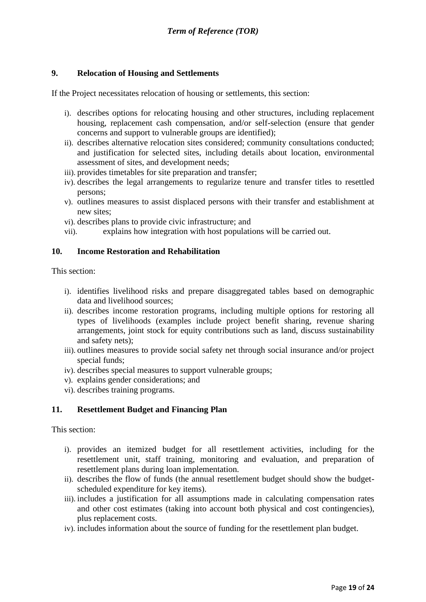#### **9. Relocation of Housing and Settlements**

If the Project necessitates relocation of housing or settlements, this section:

- i). describes options for relocating housing and other structures, including replacement housing, replacement cash compensation, and/or self-selection (ensure that gender concerns and support to vulnerable groups are identified);
- ii). describes alternative relocation sites considered; community consultations conducted; and justification for selected sites, including details about location, environmental assessment of sites, and development needs;
- iii). provides timetables for site preparation and transfer;
- iv). describes the legal arrangements to regularize tenure and transfer titles to resettled persons;
- v). outlines measures to assist displaced persons with their transfer and establishment at new sites;
- vi). describes plans to provide civic infrastructure; and
- vii). explains how integration with host populations will be carried out.

#### **10. Income Restoration and Rehabilitation**

This section:

- i). identifies livelihood risks and prepare disaggregated tables based on demographic data and livelihood sources;
- ii). describes income restoration programs, including multiple options for restoring all types of livelihoods (examples include project benefit sharing, revenue sharing arrangements, joint stock for equity contributions such as land, discuss sustainability and safety nets);
- iii). outlines measures to provide social safety net through social insurance and/or project special funds;
- iv). describes special measures to support vulnerable groups;
- v). explains gender considerations; and
- vi). describes training programs.

#### **11. Resettlement Budget and Financing Plan**

This section:

- i). provides an itemized budget for all resettlement activities, including for the resettlement unit, staff training, monitoring and evaluation, and preparation of resettlement plans during loan implementation.
- ii). describes the flow of funds (the annual resettlement budget should show the budgetscheduled expenditure for key items).
- iii). includes a justification for all assumptions made in calculating compensation rates and other cost estimates (taking into account both physical and cost contingencies), plus replacement costs.
- iv). includes information about the source of funding for the resettlement plan budget.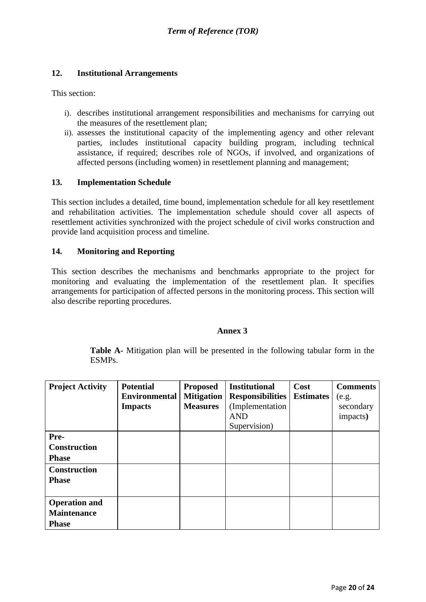### **12. Institutional Arrangements**

This section:

- i). describes institutional arrangement responsibilities and mechanisms for carrying out the measures of the resettlement plan;
- ii). assesses the institutional capacity of the implementing agency and other relevant parties, includes institutional capacity building program, including technical assistance, if required; describes role of NGOs, if involved, and organizations of affected persons (including women) in resettlement planning and management;

## **13. Implementation Schedule**

This section includes a detailed, time bound, implementation schedule for all key resettlement and rehabilitation activities. The implementation schedule should cover all aspects of resettlement activities synchronized with the project schedule of civil works construction and provide land acquisition process and timeline.

## **14. Monitoring and Reporting**

This section describes the mechanisms and benchmarks appropriate to the project for monitoring and evaluating the implementation of the resettlement plan. It specifies arrangements for participation of affected persons in the monitoring process. This section will also describe reporting procedures.

#### **Annex 3**

**Table A-** Mitigation plan will be presented in the following tabular form in the ESMPs.

| <b>Project Activity</b> | <b>Potential</b>     | <b>Proposed</b>   | <b>Institutional</b>    | Cost             | <b>Comments</b> |
|-------------------------|----------------------|-------------------|-------------------------|------------------|-----------------|
|                         | <b>Environmental</b> | <b>Mitigation</b> | <b>Responsibilities</b> | <b>Estimates</b> | (e.g.           |
|                         | <b>Impacts</b>       | <b>Measures</b>   | (Implementation)        |                  | secondary       |
|                         |                      |                   | <b>AND</b>              |                  | impacts)        |
|                         |                      |                   | Supervision)            |                  |                 |
| Pre-                    |                      |                   |                         |                  |                 |
| <b>Construction</b>     |                      |                   |                         |                  |                 |
| <b>Phase</b>            |                      |                   |                         |                  |                 |
| <b>Construction</b>     |                      |                   |                         |                  |                 |
| <b>Phase</b>            |                      |                   |                         |                  |                 |
|                         |                      |                   |                         |                  |                 |
| <b>Operation and</b>    |                      |                   |                         |                  |                 |
| <b>Maintenance</b>      |                      |                   |                         |                  |                 |
| <b>Phase</b>            |                      |                   |                         |                  |                 |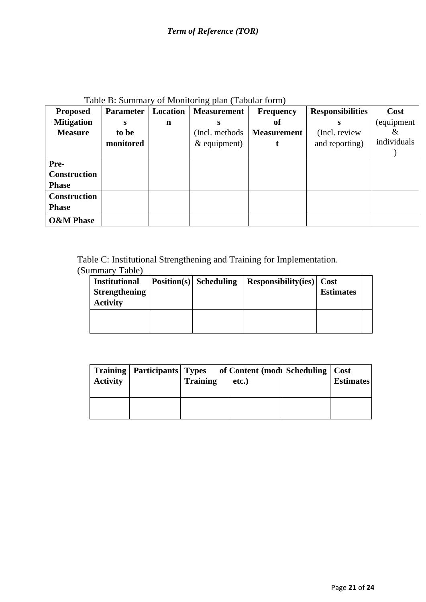| <b>Proposed</b>      | <b>Parameter</b> | Location    | <b>Measurement</b> | <b>Frequency</b>   | <b>Responsibilities</b> | Cost        |
|----------------------|------------------|-------------|--------------------|--------------------|-------------------------|-------------|
| <b>Mitigation</b>    | s                | $\mathbf n$ | S                  | of                 | s                       | (equipment  |
| <b>Measure</b>       | to be            |             | (Incl. methods)    | <b>Measurement</b> | (Incl. review           | &           |
|                      | monitored        |             | $&$ equipment)     | t                  | and reporting)          | individuals |
|                      |                  |             |                    |                    |                         |             |
| Pre-                 |                  |             |                    |                    |                         |             |
| <b>Construction</b>  |                  |             |                    |                    |                         |             |
| <b>Phase</b>         |                  |             |                    |                    |                         |             |
| <b>Construction</b>  |                  |             |                    |                    |                         |             |
| <b>Phase</b>         |                  |             |                    |                    |                         |             |
| <b>O&amp;M</b> Phase |                  |             |                    |                    |                         |             |

Table B: Summary of Monitoring plan (Tabular form)

Table C: Institutional Strengthening and Training for Implementation.

| <b>Institutional</b><br><b>Strengthening</b><br><b>Activity</b> | $\text{Position}(s)   \text{ Scheduling}$ | <b>Responsibility(ies)</b> Cost | <b>Estimates</b> |  |
|-----------------------------------------------------------------|-------------------------------------------|---------------------------------|------------------|--|
|                                                                 |                                           |                                 |                  |  |

|  |  | (Summary Table) |  |
|--|--|-----------------|--|
|  |  |                 |  |

| <b>Activity</b> | <b>Training   Participants   Types</b> | <b>Training</b> | of Content (mode Scheduling   Cost<br>etc. | <b>Estimates</b> |
|-----------------|----------------------------------------|-----------------|--------------------------------------------|------------------|
|                 |                                        |                 |                                            |                  |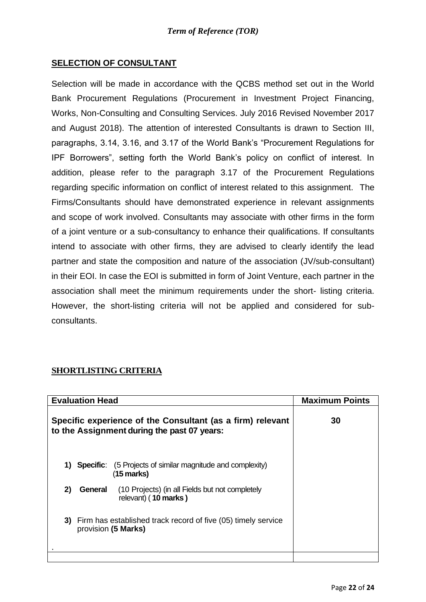## **SELECTION OF CONSULTANT**

Selection will be made in accordance with the QCBS method set out in the World Bank Procurement Regulations (Procurement in Investment Project Financing, Works, Non-Consulting and Consulting Services. July 2016 Revised November 2017 and August 2018). The attention of interested Consultants is drawn to Section III, paragraphs, 3.14, 3.16, and 3.17 of the World Bank's "Procurement Regulations for IPF Borrowers", setting forth the World Bank's policy on conflict of interest. In addition, please refer to the paragraph 3.17 of the Procurement Regulations regarding specific information on conflict of interest related to this assignment. The Firms/Consultants should have demonstrated experience in relevant assignments and scope of work involved. Consultants may associate with other firms in the form of a joint venture or a sub-consultancy to enhance their qualifications. If consultants intend to associate with other firms, they are advised to clearly identify the lead partner and state the composition and nature of the association (JV/sub-consultant) in their EOI. In case the EOI is submitted in form of Joint Venture, each partner in the association shall meet the minimum requirements under the short- listing criteria. However, the short-listing criteria will not be applied and considered for subconsultants.

## **SHORTLISTING CRITERIA**

| <b>Evaluation Head</b>                                                                                    | <b>Maximum Points</b>                                                                |    |
|-----------------------------------------------------------------------------------------------------------|--------------------------------------------------------------------------------------|----|
| Specific experience of the Consultant (as a firm) relevant<br>to the Assignment during the past 07 years: |                                                                                      | 30 |
| 1)                                                                                                        | <b>Specific:</b> (5 Projects of similar magnitude and complexity)<br>$(15$ marks)    |    |
| 2)<br>General                                                                                             | (10 Projects) (in all Fields but not completely<br>relevant) (10 marks)              |    |
| 3)                                                                                                        | Firm has established track record of five (05) timely service<br>provision (5 Marks) |    |
|                                                                                                           |                                                                                      |    |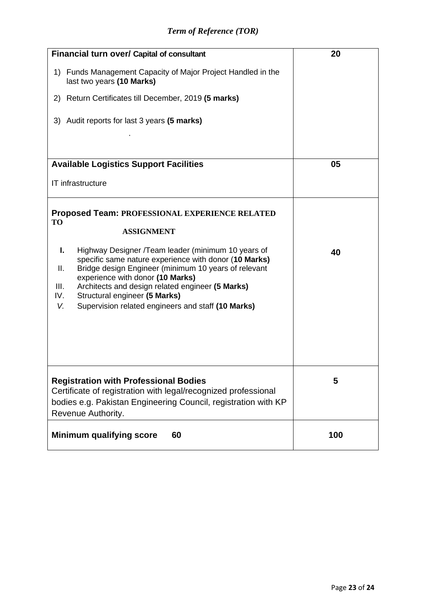| <b>Financial turn over/ Capital of consultant</b>                                                                                                                                                                                                                                                                                                                                                                                                                              | 20  |
|--------------------------------------------------------------------------------------------------------------------------------------------------------------------------------------------------------------------------------------------------------------------------------------------------------------------------------------------------------------------------------------------------------------------------------------------------------------------------------|-----|
| 1) Funds Management Capacity of Major Project Handled in the<br>last two years (10 Marks)                                                                                                                                                                                                                                                                                                                                                                                      |     |
| 2) Return Certificates till December, 2019 (5 marks)                                                                                                                                                                                                                                                                                                                                                                                                                           |     |
| 3) Audit reports for last 3 years (5 marks)                                                                                                                                                                                                                                                                                                                                                                                                                                    |     |
| <b>Available Logistics Support Facilities</b>                                                                                                                                                                                                                                                                                                                                                                                                                                  | 05  |
| IT infrastructure                                                                                                                                                                                                                                                                                                                                                                                                                                                              |     |
| <b>Proposed Team: PROFESSIONAL EXPERIENCE RELATED</b><br><b>TO</b><br><b>ASSIGNMENT</b><br>I.<br>Highway Designer /Team leader (minimum 10 years of<br>specific same nature experience with donor (10 Marks)<br>Ш.<br>Bridge design Engineer (minimum 10 years of relevant<br>experience with donor (10 Marks)<br>Architects and design related engineer (5 Marks)<br>III.<br>Structural engineer (5 Marks)<br>IV.<br>Supervision related engineers and staff (10 Marks)<br>V. | 40  |
| <b>Registration with Professional Bodies</b><br>Certificate of registration with legal/recognized professional<br>bodies e.g. Pakistan Engineering Council, registration with KP<br>Revenue Authority.                                                                                                                                                                                                                                                                         | 5   |
| 60<br><b>Minimum qualifying score</b>                                                                                                                                                                                                                                                                                                                                                                                                                                          | 100 |